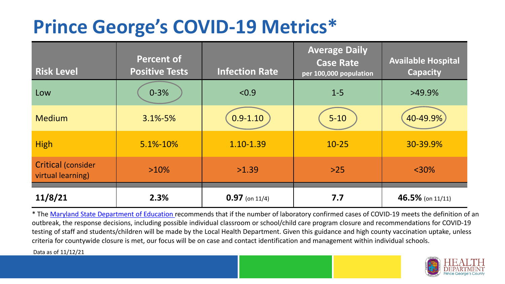## **Prince George's COVID-19 Metrics\***

| <b>Risk Level</b>                              | <b>Percent of</b><br><b>Positive Tests</b> | <b>Infection Rate</b> | <b>Average Daily</b><br><b>Case Rate</b><br>per 100,000 population | <b>Available Hospital</b><br><b>Capacity</b> |
|------------------------------------------------|--------------------------------------------|-----------------------|--------------------------------------------------------------------|----------------------------------------------|
| Low                                            | $0 - 3%$                                   | < 0.9                 | $1 - 5$                                                            | $>49.9\%$                                    |
| <b>Medium</b>                                  | 3.1%-5%                                    | $0.9 - 1.10$          | $5 - 10$                                                           | 40-49.9%                                     |
| <b>High</b>                                    | 5.1%-10%                                   | 1.10-1.39             | $10 - 25$                                                          | 30-39.9%                                     |
| <b>Critical (consider</b><br>virtual learning) | $>10\%$                                    | >1.39                 | $>25$                                                              | $<$ 30%                                      |
| 11/8/21                                        | 2.3%                                       | $0.97$ (on 11/4)      | 7.7                                                                | 46.5% (on 11/11)                             |

\* The [Maryland State Department of Education r](https://earlychildhood.marylandpublicschools.org/system/files/filedepot/3/covid_guidance_full_080420.pdf)ecommends that if the number of laboratory confirmed cases of COVID-19 meets the definition of an outbreak, the response decisions, including possible individual classroom or school/child care program closure and recommendations for COVID-19 testing of staff and students/children will be made by the Local Health Department. Given this guidance and high county vaccination uptake, unless criteria for countywide closure is met, our focus will be on case and contact identification and management within individual schools.

Data as of 11/12/21

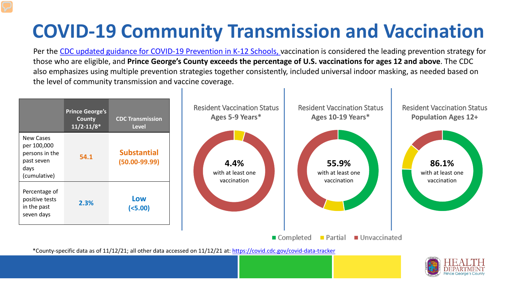# **COVID-19 Community Transmission and Vaccination**

Per the [CDC updated guidance for COVID-19 Prevention in K-12 Schools,](https://www.cdc.gov/coronavirus/2019-ncov/community/schools-childcare/k-12-guidance.html) vaccination is considered the leading prevention strategy for those who are eligible, and **Prince George's County exceeds the percentage of U.S. vaccinations for ages 12 and above**. The CDC also emphasizes using multiple prevention strategies together consistently, included universal indoor masking, as needed based on the level of community transmission and vaccine coverage.



\*County-specific data as of 11/12/21; all other data accessed on 11/12/21 at:<https://covid.cdc.gov/covid-data-tracker>

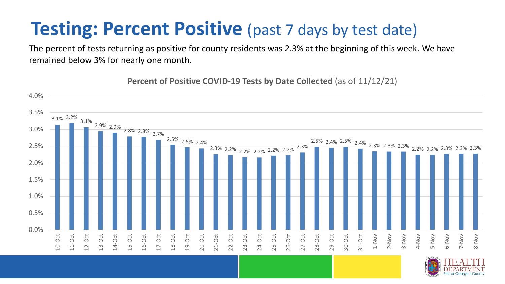### **Testing: Percent Positive** (past 7 days by test date)

The percent of tests returning as positive for county residents was 2.3% at the beginning of this week. We have remained below 3% for nearly one month.

3.1% 3.2% 3.1% 2.9% 2.9% 2.8% 2.8% 2.7% 2.5% 2.5% 2.4% 2.3% 2.2% 2.2% 2.2% 2.2% 2.2% 2.3% 2.5% 2.4% 2.5% 2.4% 2.3% 2.3% 2.3% 2.2% 2.2% 2.3% 2.3% 2.3% 0.0% 0.5% 1.0% 1.5% 2.0% 2.5% 3.0% 3.5% 4.0% 10-Oct 11-Oct 12-Oct 13-Oct 14-Oct 15-Oct 16-Oct 17-Oct 18-Oct 19-Oct 20-Oct 21-Oct 22-Oct 23-Oct 24-Oct 25-Oct 26-Oct 27-Oct 28-Oct 29-Oct 30-Oct 31-Oct 1-Nov 2-Nov 3-Nov 4-Nov 5-Nov 6-Nov 7-Nov 8-Nov

**Percent of Positive COVID-19 Tests by Date Collected** (as of 11/12/21)

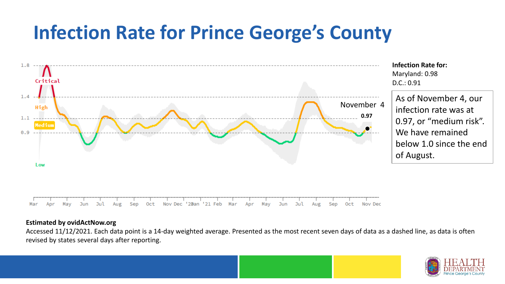## **Infection Rate for Prince George's County**



#### **Estimated by ovidActNow.org**

Accessed 11/12/2021. Each data point is a 14-day weighted average. Presented as the most recent seven days of data as a dashed line, as data is often revised by states several days after reporting.

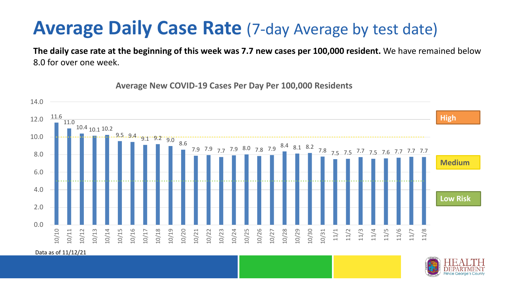### **Average Daily Case Rate** (7-day Average by test date)

**The daily case rate at the beginning of this week was 7.7 new cases per 100,000 resident.** We have remained below 8.0 for over one week.



**Average New COVID-19 Cases Per Day Per 100,000 Residents**

Data as of 11/12/21